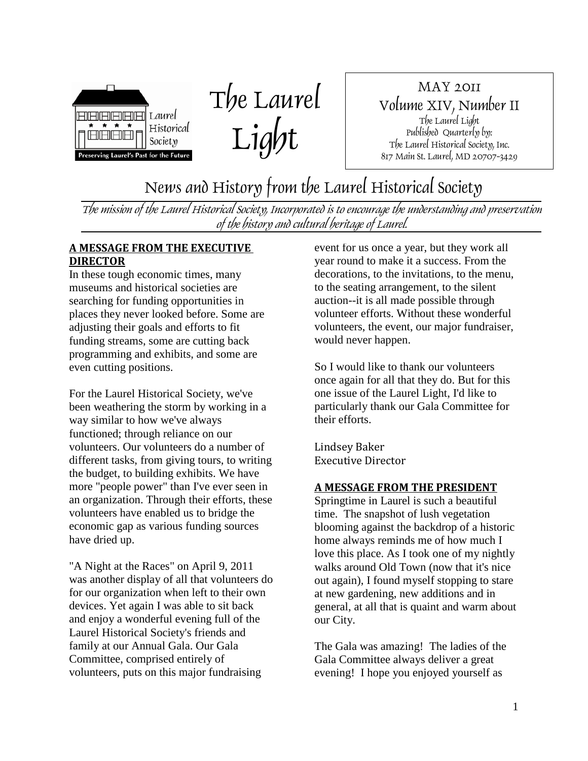



MAY 2011 Volume XIV, Number II The Laurel Light Published Quarterly by: The Laurel Historical Society, Inc. 817 Main St. Laurel, MD 20707-3429

News and History from the Laurel Historical Society

The mission of the Laurel Historical Society, Incorporated is to encourage the understanding and preservation of the history and cultural heritage of Laurel.

## **A MESSAGE FROM THE EXECUTIVE DIRECTOR**

In these tough economic times, many museums and historical societies are searching for funding opportunities in places they never looked before. Some are adjusting their goals and efforts to fit funding streams, some are cutting back programming and exhibits, and some are even cutting positions.

For the Laurel Historical Society, we've been weathering the storm by working in a way similar to how we've always functioned; through reliance on our volunteers. Our volunteers do a number of different tasks, from giving tours, to writing the budget, to building exhibits. We have more "people power" than I've ever seen in an organization. Through their efforts, these volunteers have enabled us to bridge the economic gap as various funding sources have dried up.

"A Night at the Races" on April 9, 2011 was another display of all that volunteers do for our organization when left to their own devices. Yet again I was able to sit back and enjoy a wonderful evening full of the Laurel Historical Society's friends and family at our Annual Gala. Our Gala Committee, comprised entirely of volunteers, puts on this major fundraising

event for us once a year, but they work all year round to make it a success. From the decorations, to the invitations, to the menu, to the seating arrangement, to the silent auction--it is all made possible through volunteer efforts. Without these wonderful volunteers, the event, our major fundraiser, would never happen.

So I would like to thank our volunteers once again for all that they do. But for this one issue of the Laurel Light, I'd like to particularly thank our Gala Committee for their efforts.

Lindsey Baker Executive Director

## **A MESSAGE FROM THE PRESIDENT**

Springtime in Laurel is such a beautiful time. The snapshot of lush vegetation blooming against the backdrop of a historic home always reminds me of how much I love this place. As I took one of my nightly walks around Old Town (now that it's nice out again), I found myself stopping to stare at new gardening, new additions and in general, at all that is quaint and warm about our City.

The Gala was amazing! The ladies of the Gala Committee always deliver a great evening! I hope you enjoyed yourself as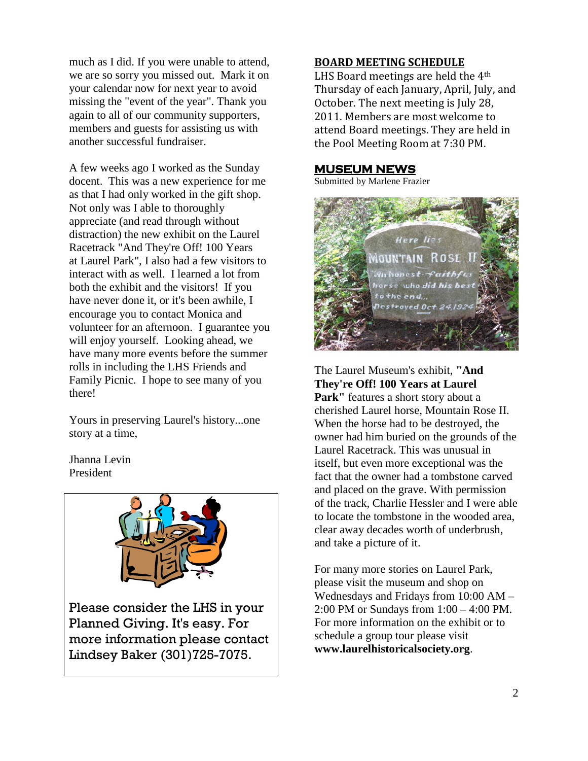much as I did. If you were unable to attend, we are so sorry you missed out. Mark it on your calendar now for next year to avoid missing the "event of the year". Thank you again to all of our community supporters, members and guests for assisting us with another successful fundraiser.

A few weeks ago I worked as the Sunday docent. This was a new experience for me as that I had only worked in the gift shop. Not only was I able to thoroughly appreciate (and read through without distraction) the new exhibit on the Laurel Racetrack "And They're Off! 100 Years at Laurel Park", I also had a few visitors to interact with as well. I learned a lot from both the exhibit and the visitors! If you have never done it, or it's been awhile, I encourage you to contact Monica and volunteer for an afternoon. I guarantee you will enjoy yourself. Looking ahead, we have many more events before the summer rolls in including the LHS Friends and Family Picnic. I hope to see many of you there!

Yours in preserving Laurel's history...one story at a time,

Jhanna Levin President



## **BOARD MEETING SCHEDULE**

LHS Board meetings are held the 4th Thursday of each January, April, July, and October. The next meeting is July 28, 2011. Members are most welcome to attend Board meetings. They are held in the Pool Meeting Room at 7:30 PM.

## **MUSEUM NEWS**

Submitted by Marlene Frazier



The Laurel Museum's exhibit, **"And They're Off! 100 Years at Laurel** Park" features a short story about a cherished Laurel horse, Mountain Rose II. When the horse had to be destroyed, the owner had him buried on the grounds of the Laurel Racetrack. This was unusual in itself, but even more exceptional was the fact that the owner had a tombstone carved and placed on the grave. With permission of the track, Charlie Hessler and I were able to locate the tombstone in the wooded area, clear away decades worth of underbrush, and take a picture of it.

For many more stories on Laurel Park, please visit the museum and shop on Wednesdays and Fridays from 10:00 AM – 2:00 PM or Sundays from 1:00 – 4:00 PM. For more information on the exhibit or to schedule a group tour please visit **www.laurelhistoricalsociety.org**.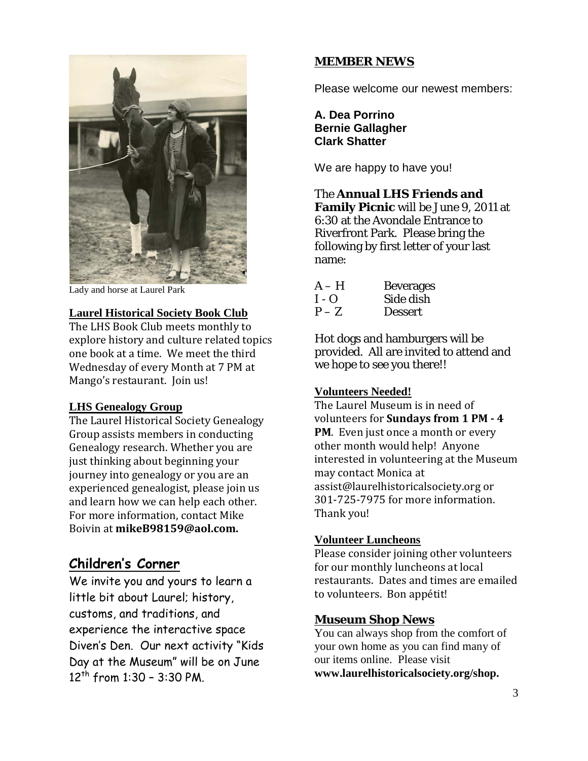

Lady and horse at Laurel Park

## **Laurel Historical Society Book Club**

The LHS Book Club meets monthly to explore history and culture related topics one book at a time. We meet the third Wednesday of every Month at 7 PM at Mango's restaurant. Join us!

## **LHS Genealogy Group**

The Laurel Historical Society Genealogy Group assists members in conducting Genealogy research. Whether you are just thinking about beginning your journey into genealogy or you are an experienced genealogist, please join us and learn how we can help each other. For more information, contact Mike Boivin at **mikeB98159@aol.com.**

## **Children's Corner**

We invite you and yours to learn a little bit about Laurel; history, customs, and traditions, and experience the interactive space Diven's Den. Our next activity "Kids Day at the Museum" will be on June  $12^{th}$  from 1:30 - 3:30 PM.

#### **MEMBER NEWS**

Please welcome our newest members:

**A. Dea Porrino Bernie Gallagher Clark Shatter**

We are happy to have you!

## The **Annual LHS Friends and**

**Family Picnic** will be June 9, 2011 at 6:30 at the Avondale Entrance to Riverfront Park. Please bring the following by first letter of your last name:

| $A-H$   | <b>Beverages</b> |
|---------|------------------|
| $I - Q$ | Side dish        |
| $P - Z$ | <b>Dessert</b>   |

Hot dogs and hamburgers will be provided. All are invited to attend and we hope to see you there!!

#### **Volunteers Needed!**

The Laurel Museum is in need of volunteers for **Sundays from 1 PM - 4 PM**. Even just once a month or every other month would help! Anyone interested in volunteering at the Museum may contact Monica at assist@laurelhistoricalsociety.org or 301-725-7975 for more information. Thank you!

## **Volunteer Luncheons**

Please consider joining other volunteers for our monthly luncheons at local restaurants. Dates and times are emailed to volunteers. Bon appétit!

## **Museum Shop News**

You can always shop from the comfort of your own home as you can find many of our items online. Please visit **www.laurelhistoricalsociety.org/shop.**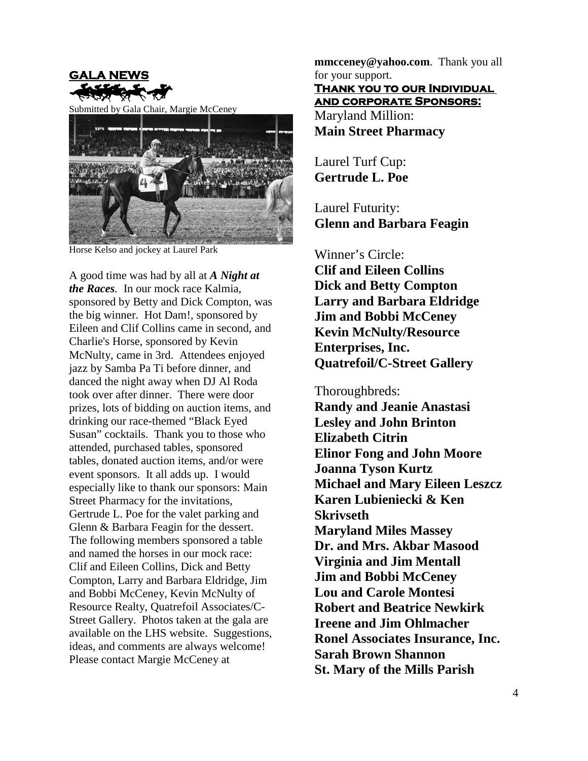

Submitted by Gala Chair, Margie McCeney



Horse Kelso and jockey at Laurel Park

A good time was had by all at *A Night at the Races.* In our mock race Kalmia, sponsored by Betty and Dick Compton, was the big winner. Hot Dam!, sponsored by Eileen and Clif Collins came in second, and Charlie's Horse, sponsored by Kevin McNulty, came in 3rd. Attendees enjoyed jazz by Samba Pa Ti before dinner, and danced the night away when DJ Al Roda took over after dinner. There were door prizes, lots of bidding on auction items, and drinking our race-themed "Black Eyed Susan" cocktails. Thank you to those who attended, purchased tables, sponsored tables, donated auction items, and/or were event sponsors. It all adds up. I would especially like to thank our sponsors: Main Street Pharmacy for the invitations, Gertrude L. Poe for the valet parking and Glenn & Barbara Feagin for the dessert. The following members sponsored a table and named the horses in our mock race: Clif and Eileen Collins, Dick and Betty Compton, Larry and Barbara Eldridge, Jim and Bobbi McCeney, Kevin McNulty of Resource Realty, Quatrefoil Associates/C-Street Gallery. Photos taken at the gala are available on the LHS website. Suggestions, ideas, and comments are always welcome! Please contact Margie McCeney at

**mmcceney@yahoo.com**. Thank you all for your support. Maryland Million: **Thank you to our Individual and corporate Sponsors:**

**Main Street Pharmacy**

Laurel Turf Cup: **Gertrude L. Poe**

Laurel Futurity: **Glenn and Barbara Feagin**

Winner's Circle: **Clif and Eileen Collins Dick and Betty Compton Larry and Barbara Eldridge Jim and Bobbi McCeney Kevin McNulty/Resource Enterprises, Inc. Quatrefoil/C-Street Gallery**

Thoroughbreds: **Randy and Jeanie Anastasi Lesley and John Brinton Elizabeth Citrin Elinor Fong and John Moore Joanna Tyson Kurtz Michael and Mary Eileen Leszcz Karen Lubieniecki & Ken Skrivseth Maryland Miles Massey Dr. and Mrs. Akbar Masood Virginia and Jim Mentall Jim and Bobbi McCeney Lou and Carole Montesi Robert and Beatrice Newkirk Ireene and Jim Ohlmacher Ronel Associates Insurance, Inc. Sarah Brown Shannon St. Mary of the Mills Parish**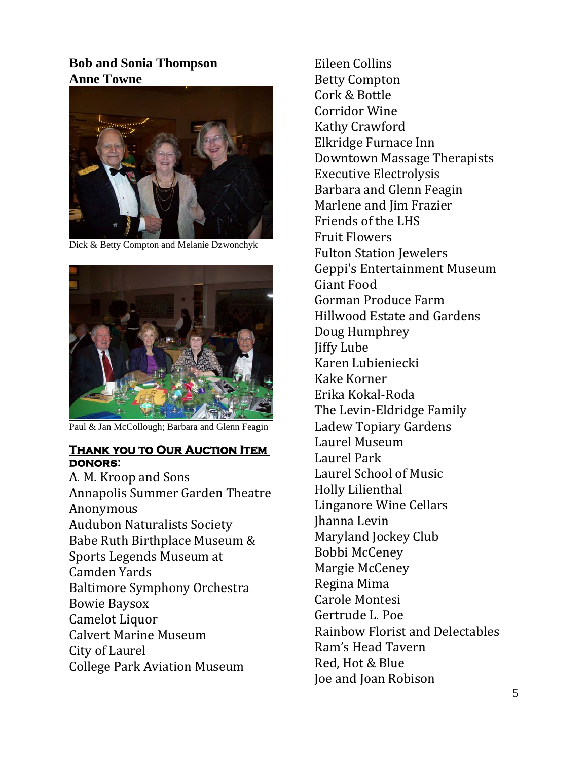## **Bob and Sonia Thompson Anne Towne**



Dick & Betty Compton and Melanie Dzwonchyk



Paul & Jan McCollough; Barbara and Glenn Feagin

## **Thank you to Our Auction Item donors:**

A. M. Kroop and Sons Annapolis Summer Garden Theatre Anonymous Audubon Naturalists Society Babe Ruth Birthplace Museum & Sports Legends Museum at Camden Yards Baltimore Symphony Orchestra Bowie Baysox Camelot Liquor Calvert Marine Museum City of Laurel College Park Aviation Museum

Eileen Collins Betty Compton Cork & Bottle Corridor Wine Kathy Crawford Elkridge Furnace Inn Downtown Massage Therapists Executive Electrolysis Barbara and Glenn Feagin Marlene and Jim Frazier Friends of the LHS Fruit Flowers Fulton Station Jewelers Geppi's Entertainment Museum Giant Food Gorman Produce Farm Hillwood Estate and Gardens Doug Humphrey Jiffy Lube Karen Lubieniecki Kake Korner Erika Kokal-Roda The Levin-Eldridge Family Ladew Topiary Gardens Laurel Museum Laurel Park Laurel School of Music Holly Lilienthal Linganore Wine Cellars Jhanna Levin Maryland Jockey Club Bobbi McCeney Margie McCeney Regina Mima Carole Montesi Gertrude L. Poe Rainbow Florist and Delectables Ram's Head Tavern Red, Hot & Blue Joe and Joan Robison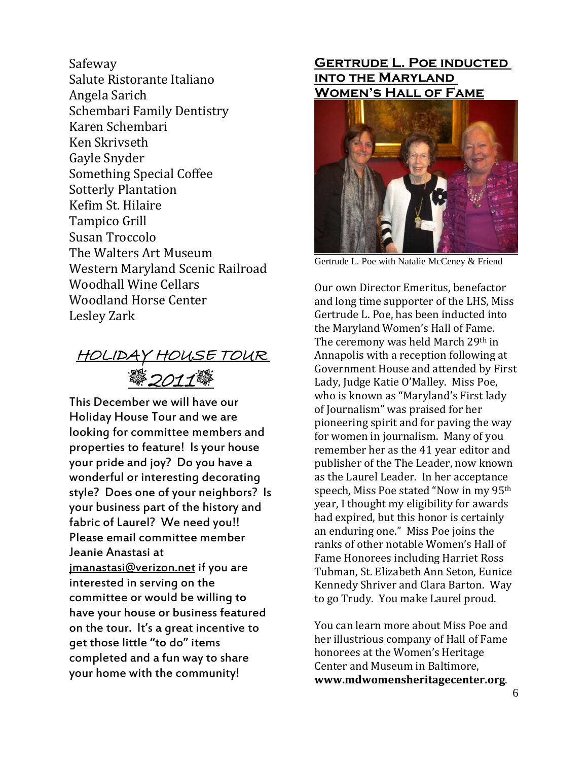Safeway Salute Ristorante Italiano Angela Sarich Schembari Family Dentistry Karen Schembari Ken Skrivseth Gayle Snyder Something Special Coffee Sotterly Plantation Kefim St. Hilaire Tampico Grill Susan Troccolo The Walters Art Museum Western Maryland Scenic Railroad Woodhall Wine Cellars Woodland Horse Center Lesley Zark

HOLIDAY HOUSE TOUR <u>2011變</u>

This December we will have our Holiday House Tour and we are looking for committee members and properties to feature! Is your house your pride and joy? Do you have a wonderful or interesting decorating style? Does one of your neighbors? Is your business part of the history and fabric of Laurel? We need you!! Please email committee member Jeanie Anastasi at jmanastasi@verizon.net if you are interested in serving on the committee or would be willing to have your house or business featured on the tour. It's a great incentive to get those little "to do" items completed and a fun way to share your home with the community!

## **Gertrude L. Poe inducted into the Maryland Women's Hall of Fame**



Gertrude L. Poe with Natalie McCeney & Friend

Our own Director Emeritus, benefactor and long time supporter of the LHS, Miss Gertrude L. Poe, has been inducted into the Maryland Women's Hall of Fame. The ceremony was held March 29th in Annapolis with a reception following at Government House and attended by First Lady, Judge Katie O'Malley. Miss Poe, who is known as "Maryland's First lady of Journalism" was praised for her pioneering spirit and for paving the way for women in journalism. Many of you remember her as the 41 year editor and publisher of the The Leader, now known as the Laurel Leader. In her acceptance speech, Miss Poe stated "Now in my 95th year, I thought my eligibility for awards had expired, but this honor is certainly an enduring one." Miss Poe joins the ranks of other notable Women's Hall of Fame Honorees including Harriet Ross Tubman, St. Elizabeth Ann Seton, Eunice Kennedy Shriver and Clara Barton. Way to go Trudy. You make Laurel proud.

You can learn more about Miss Poe and her illustrious company of Hall of Fame honorees at the Women's Heritage Center and Museum in Baltimore, **www.mdwomensheritagecenter.org**.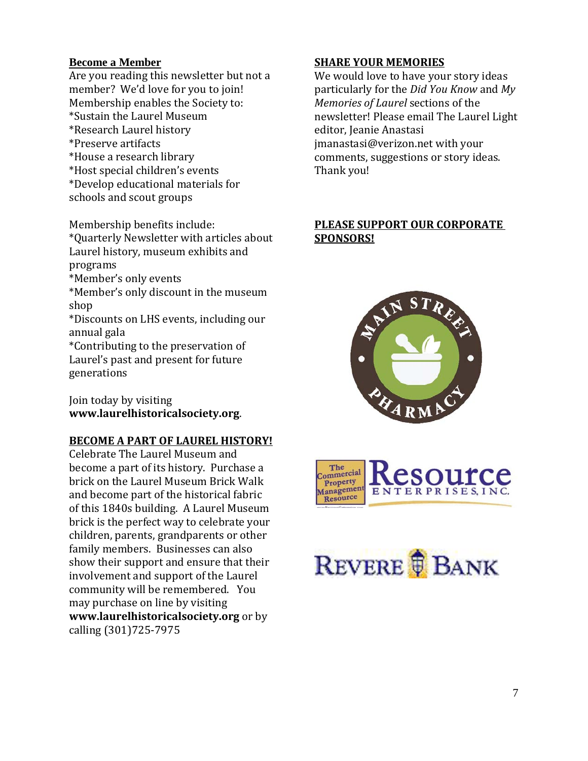## **Become a Member**

Are you reading this newsletter but not a member? We'd love for you to join! Membership enables the Society to: \*Sustain the Laurel Museum \*Research Laurel history \*Preserve artifacts \*House a research library \*Host special children's events \*Develop educational materials for schools and scout groups

Membership benefits include: \*Quarterly Newsletter with articles about Laurel history, museum exhibits and programs

\*Member's only events

\*Member's only discount in the museum shop

\*Discounts on LHS events, including our annual gala

\*Contributing to the preservation of Laurel's past and present for future generations

Join today by visiting **www.laurelhistoricalsociety.org**.

## **BECOME A PART OF LAUREL HISTORY!**

Celebrate The Laurel Museum and become a part of its history. Purchase a brick on the Laurel Museum Brick Walk and become part of the historical fabric of this 1840s building. A Laurel Museum brick is the perfect way to celebrate your children, parents, grandparents or other family members. Businesses can also show their support and ensure that their involvement and support of the Laurel community will be remembered. You may purchase on line by visiting **www.laurelhistoricalsociety.org** or by calling (301)725-7975

## **SHARE YOUR MEMORIES**

We would love to have your story ideas particularly for the *Did You Know* and *My Memories of Laurel* sections of the newsletter! Please email The Laurel Light editor, Jeanie Anastasi jmanastasi@verizon.net with your comments, suggestions or story ideas. Thank you!

## **PLEASE SUPPORT OUR CORPORATE SPONSORS!**





# REVERE **B**ANK